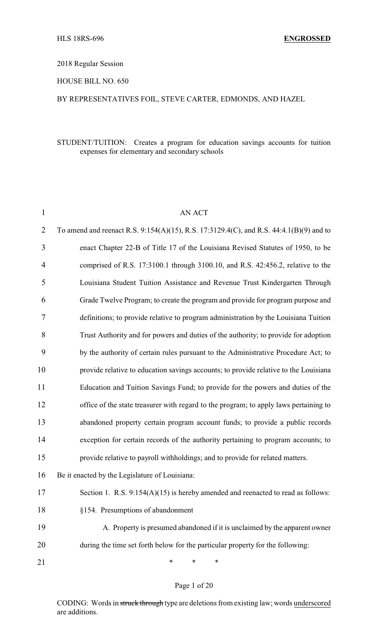# 2018 Regular Session

# HOUSE BILL NO. 650

# BY REPRESENTATIVES FOIL, STEVE CARTER, EDMONDS, AND HAZEL

# STUDENT/TUITION: Creates a program for education savings accounts for tuition expenses for elementary and secondary schools

| $\mathbf{1}$   | <b>AN ACT</b>                                                                           |
|----------------|-----------------------------------------------------------------------------------------|
| $\overline{2}$ | To amend and reenact R.S. 9:154(A)(15), R.S. 17:3129.4(C), and R.S. 44:4.1(B)(9) and to |
| 3              | enact Chapter 22-B of Title 17 of the Louisiana Revised Statutes of 1950, to be         |
| 4              | comprised of R.S. 17:3100.1 through 3100.10, and R.S. 42:456.2, relative to the         |
| 5              | Louisiana Student Tuition Assistance and Revenue Trust Kindergarten Through             |
| 6              | Grade Twelve Program; to create the program and provide for program purpose and         |
| 7              | definitions; to provide relative to program administration by the Louisiana Tuition     |
| 8              | Trust Authority and for powers and duties of the authority; to provide for adoption     |
| 9              | by the authority of certain rules pursuant to the Administrative Procedure Act; to      |
| 10             | provide relative to education savings accounts; to provide relative to the Louisiana    |
| 11             | Education and Tuition Savings Fund; to provide for the powers and duties of the         |
| 12             | office of the state treasurer with regard to the program; to apply laws pertaining to   |
| 13             | abandoned property certain program account funds; to provide a public records           |
| 14             | exception for certain records of the authority pertaining to program accounts; to       |
| 15             | provide relative to payroll withholdings; and to provide for related matters.           |
| 16             | Be it enacted by the Legislature of Louisiana:                                          |
| 17             | Section 1. R.S. $9:154(A)(15)$ is hereby amended and reenacted to read as follows:      |
| 18             | §154. Presumptions of abandonment                                                       |
| 19             | A. Property is presumed abandoned if it is unclaimed by the apparent owner              |
| 20             | during the time set forth below for the particular property for the following:          |
| 21             | *<br>∗<br>∗                                                                             |

#### Page 1 of 20

CODING: Words in struck through type are deletions from existing law; words underscored are additions.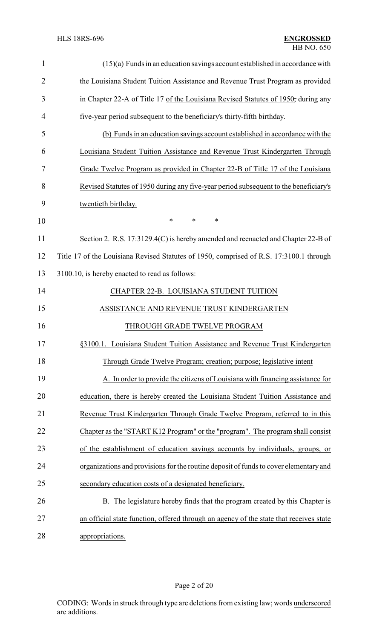| $\mathbf{1}$   | $(15)(a)$ Funds in an education savings account established in accordance with          |
|----------------|-----------------------------------------------------------------------------------------|
| $\overline{2}$ | the Louisiana Student Tuition Assistance and Revenue Trust Program as provided          |
| 3              | in Chapter 22-A of Title 17 of the Louisiana Revised Statutes of 1950; during any       |
| 4              | five-year period subsequent to the beneficiary's thirty-fifth birthday.                 |
| 5              | (b) Funds in an education savings account established in accordance with the            |
| 6              | Louisiana Student Tuition Assistance and Revenue Trust Kindergarten Through             |
| 7              | Grade Twelve Program as provided in Chapter 22-B of Title 17 of the Louisiana           |
| 8              | Revised Statutes of 1950 during any five-year period subsequent to the beneficiary's    |
| 9              | twentieth birthday.                                                                     |
| 10             | $\ast$<br>$\ast$<br>$\ast$                                                              |
| 11             | Section 2. R.S. 17:3129.4(C) is hereby amended and reenacted and Chapter 22-B of        |
| 12             | Title 17 of the Louisiana Revised Statutes of 1950, comprised of R.S. 17:3100.1 through |
| 13             | 3100.10, is hereby enacted to read as follows:                                          |
| 14             | CHAPTER 22-B. LOUISIANA STUDENT TUITION                                                 |
| 15             | ASSISTANCE AND REVENUE TRUST KINDERGARTEN                                               |
| 16             | THROUGH GRADE TWELVE PROGRAM                                                            |
| 17             | §3100.1. Louisiana Student Tuition Assistance and Revenue Trust Kindergarten            |
| 18             | Through Grade Twelve Program; creation; purpose; legislative intent                     |
| 19             | A. In order to provide the citizens of Louisiana with financing assistance for          |
| 20             | education, there is hereby created the Louisiana Student Tuition Assistance and         |
| 21             | Revenue Trust Kindergarten Through Grade Twelve Program, referred to in this            |
| 22             | Chapter as the "START K12 Program" or the "program". The program shall consist          |
| 23             | of the establishment of education savings accounts by individuals, groups, or           |
| 24             | organizations and provisions for the routine deposit of funds to cover elementary and   |
| 25             | secondary education costs of a designated beneficiary.                                  |
| 26             | B. The legislature hereby finds that the program created by this Chapter is             |
| 27             | an official state function, offered through an agency of the state that receives state  |
| 28             | appropriations.                                                                         |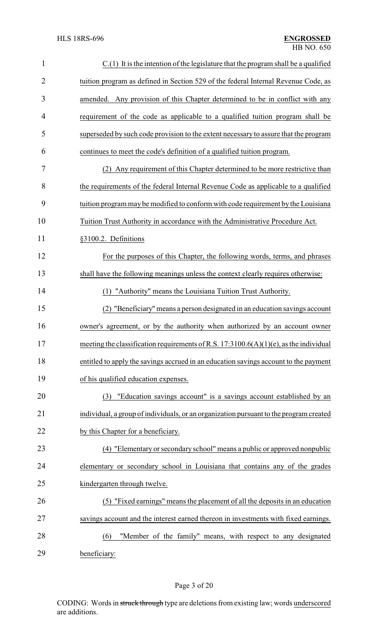| $\mathbf{1}$   | $C(1)$ It is the intention of the legislature that the program shall be a qualified      |
|----------------|------------------------------------------------------------------------------------------|
| $\overline{2}$ | tuition program as defined in Section 529 of the federal Internal Revenue Code, as       |
| 3              | amended. Any provision of this Chapter determined to be in conflict with any             |
| 4              | requirement of the code as applicable to a qualified tuition program shall be            |
| 5              | superseded by such code provision to the extent necessary to assure that the program     |
| 6              | continues to meet the code's definition of a qualified tuition program.                  |
| 7              | (2) Any requirement of this Chapter determined to be more restrictive than               |
| 8              | the requirements of the federal Internal Revenue Code as applicable to a qualified       |
| 9              | tuition program may be modified to conform with code requirement by the Louisiana        |
| 10             | Tuition Trust Authority in accordance with the Administrative Procedure Act.             |
| 11             | §3100.2. Definitions                                                                     |
| 12             | For the purposes of this Chapter, the following words, terms, and phrases                |
| 13             | shall have the following meanings unless the context clearly requires otherwise:         |
| 14             | (1) "Authority" means the Louisiana Tuition Trust Authority.                             |
| 15             | "Beneficiary" means a person designated in an education savings account<br>(2)           |
| 16             | owner's agreement, or by the authority when authorized by an account owner               |
| 17             | meeting the classification requirements of R.S. $17:3100.6(A)(1)(e)$ , as the individual |
| 18             | entitled to apply the savings accrued in an education savings account to the payment     |
| 19             | of his qualified education expenses.                                                     |
| 20             | "Education savings account" is a savings account established by an<br>(3)                |
| 21             | individual, a group of individuals, or an organization pursuant to the program created   |
| 22             | by this Chapter for a beneficiary.                                                       |
| 23             | (4) "Elementary or secondary school" means a public or approved nonpublic                |
| 24             | elementary or secondary school in Louisiana that contains any of the grades              |
| 25             | kindergarten through twelve.                                                             |
| 26             | (5) "Fixed earnings" means the placement of all the deposits in an education             |
| 27             | savings account and the interest earned thereon in investments with fixed earnings.      |
| 28             | "Member of the family" means, with respect to any designated<br>(6)                      |
| 29             | beneficiary:                                                                             |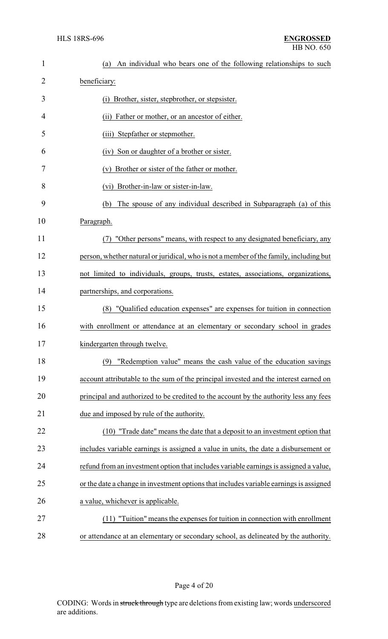| $\mathbf{1}$ | An individual who bears one of the following relationships to such<br>(a)              |
|--------------|----------------------------------------------------------------------------------------|
| 2            | beneficiary:                                                                           |
| 3            | (i) Brother, sister, stepbrother, or stepsister.                                       |
| 4            | (ii) Father or mother, or an ancestor of either.                                       |
| 5            | (iii) Stepfather or stepmother.                                                        |
| 6            | (iv) Son or daughter of a brother or sister.                                           |
| 7            | (v) Brother or sister of the father or mother.                                         |
| 8            | (vi) Brother-in-law or sister-in-law.                                                  |
| 9            | The spouse of any individual described in Subparagraph (a) of this<br>(b)              |
| 10           | Paragraph.                                                                             |
| 11           | "Other persons" means, with respect to any designated beneficiary, any<br>(7)          |
| 12           | person, whether natural or juridical, who is not a member of the family, including but |
| 13           | not limited to individuals, groups, trusts, estates, associations, organizations,      |
| 14           | partnerships, and corporations.                                                        |
| 15           | (8) "Qualified education expenses" are expenses for tuition in connection              |
| 16           | with enrollment or attendance at an elementary or secondary school in grades           |
| 17           | kindergarten through twelve.                                                           |
| 18           | "Redemption value" means the cash value of the education savings<br>(9)                |
| 19           | account attributable to the sum of the principal invested and the interest earned on   |
| 20           | principal and authorized to be credited to the account by the authority less any fees  |
| 21           | due and imposed by rule of the authority.                                              |
| 22           | (10) "Trade date" means the date that a deposit to an investment option that           |
| 23           | includes variable earnings is assigned a value in units, the date a disbursement or    |
| 24           | refund from an investment option that includes variable earnings is assigned a value,  |
| 25           | or the date a change in investment options that includes variable earnings is assigned |
| 26           | a value, whichever is applicable.                                                      |
| 27           | (11) "Tuition" means the expenses for tuition in connection with enrollment            |
| 28           | or attendance at an elementary or secondary school, as delineated by the authority.    |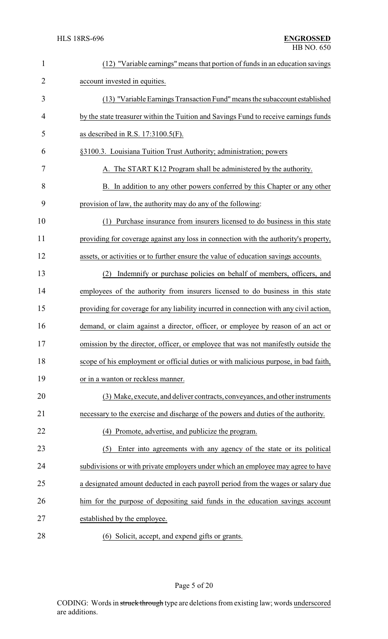| $\mathbf{1}$   | (12) "Variable earnings" means that portion of funds in an education savings           |
|----------------|----------------------------------------------------------------------------------------|
| $\overline{2}$ | account invested in equities.                                                          |
| 3              | (13) "Variable Earnings Transaction Fund" means the subaccount established             |
| 4              | by the state treasurer within the Tuition and Savings Fund to receive earnings funds   |
| 5              | as described in R.S. $17:3100.5(F)$ .                                                  |
| 6              | §3100.3. Louisiana Tuition Trust Authority; administration; powers                     |
| 7              | A. The START K12 Program shall be administered by the authority.                       |
| 8              | B. In addition to any other powers conferred by this Chapter or any other              |
| 9              | provision of law, the authority may do any of the following:                           |
| 10             | (1) Purchase insurance from insurers licensed to do business in this state             |
| 11             | providing for coverage against any loss in connection with the authority's property,   |
| 12             | assets, or activities or to further ensure the value of education savings accounts.    |
| 13             | (2) Indemnify or purchase policies on behalf of members, officers, and                 |
| 14             | employees of the authority from insurers licensed to do business in this state         |
| 15             | providing for coverage for any liability incurred in connection with any civil action, |
| 16             | demand, or claim against a director, officer, or employee by reason of an act or       |
| 17             | omission by the director, officer, or employee that was not manifestly outside the     |
| 18             | scope of his employment or official duties or with malicious purpose, in bad faith,    |
| 19             | or in a wanton or reckless manner.                                                     |
| 20             | (3) Make, execute, and deliver contracts, conveyances, and other instruments           |
| 21             | necessary to the exercise and discharge of the powers and duties of the authority.     |
| 22             | (4) Promote, advertise, and publicize the program.                                     |
| 23             | Enter into agreements with any agency of the state or its political<br>(5)             |
| 24             | subdivisions or with private employers under which an employee may agree to have       |
| 25             | a designated amount deducted in each payroll period from the wages or salary due       |
| 26             | him for the purpose of depositing said funds in the education savings account          |
| 27             | established by the employee.                                                           |
| 28             | (6) Solicit, accept, and expend gifts or grants.                                       |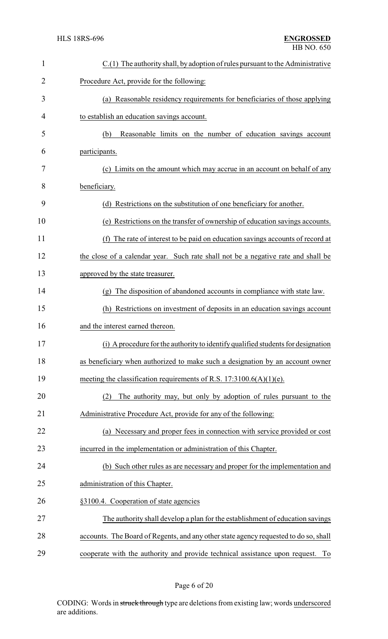| $\mathbf{1}$   | C.(1) The authority shall, by adoption of rules pursuant to the Administrative          |
|----------------|-----------------------------------------------------------------------------------------|
| $\overline{2}$ | Procedure Act, provide for the following:                                               |
| 3              | (a) Reasonable residency requirements for beneficiaries of those applying               |
| 4              | to establish an education savings account.                                              |
| 5              | Reasonable limits on the number of education savings account<br>(b)                     |
| 6              | participants.                                                                           |
| 7              | (c) Limits on the amount which may accrue in an account on behalf of any                |
| 8              | beneficiary.                                                                            |
| 9              | (d) Restrictions on the substitution of one beneficiary for another.                    |
| 10             | (e) Restrictions on the transfer of ownership of education savings accounts.            |
| 11             | The rate of interest to be paid on education savings accounts of record at<br>(f)       |
| 12             | the close of a calendar year. Such rate shall not be a negative rate and shall be       |
| 13             | approved by the state treasurer.                                                        |
| 14             | The disposition of abandoned accounts in compliance with state law.<br>$(\mathfrak{g})$ |
| 15             | (h) Restrictions on investment of deposits in an education savings account              |
| 16             | and the interest earned thereon.                                                        |
| 17             | (i) A procedure for the authority to identify qualified students for designation        |
| 18             | as beneficiary when authorized to make such a designation by an account owner           |
| 19             | meeting the classification requirements of R.S. $17:3100.6(A)(1)(e)$ .                  |
| 20             | The authority may, but only by adoption of rules pursuant to the<br>(2)                 |
| 21             | Administrative Procedure Act, provide for any of the following:                         |
| 22             | (a) Necessary and proper fees in connection with service provided or cost               |
| 23             | incurred in the implementation or administration of this Chapter.                       |
| 24             | (b) Such other rules as are necessary and proper for the implementation and             |
| 25             | administration of this Chapter.                                                         |
| 26             | §3100.4. Cooperation of state agencies                                                  |
| 27             | The authority shall develop a plan for the establishment of education savings           |
| 28             | accounts. The Board of Regents, and any other state agency requested to do so, shall    |
| 29             | cooperate with the authority and provide technical assistance upon request. To          |

Page 6 of 20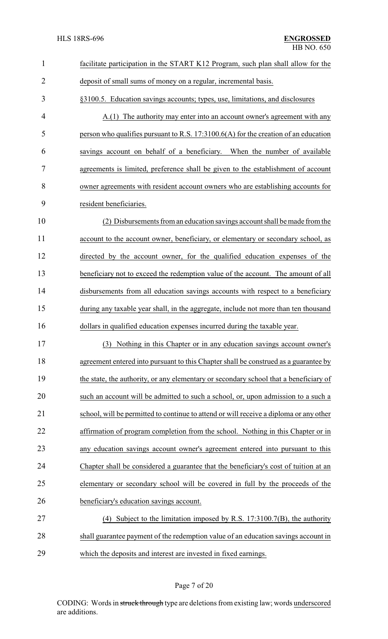| $\mathbf{1}$   | facilitate participation in the START K12 Program, such plan shall allow for the       |
|----------------|----------------------------------------------------------------------------------------|
| $\overline{2}$ | deposit of small sums of money on a regular, incremental basis.                        |
| 3              | §3100.5. Education savings accounts; types, use, limitations, and disclosures          |
| 4              | A.(1) The authority may enter into an account owner's agreement with any               |
| 5              | person who qualifies pursuant to R.S. $17:3100.6(A)$ for the creation of an education  |
| 6              | savings account on behalf of a beneficiary. When the number of available               |
| 7              | agreements is limited, preference shall be given to the establishment of account       |
| 8              | owner agreements with resident account owners who are establishing accounts for        |
| 9              | resident beneficiaries.                                                                |
| 10             | (2) Disbursements from an education savings account shall be made from the             |
| 11             | account to the account owner, beneficiary, or elementary or secondary school, as       |
| 12             | directed by the account owner, for the qualified education expenses of the             |
| 13             | beneficiary not to exceed the redemption value of the account. The amount of all       |
| 14             | disbursements from all education savings accounts with respect to a beneficiary        |
| 15             | during any taxable year shall, in the aggregate, include not more than ten thousand    |
| 16             | dollars in qualified education expenses incurred during the taxable year.              |
| 17             | (3) Nothing in this Chapter or in any education savings account owner's                |
| 18             | agreement entered into pursuant to this Chapter shall be construed as a guarantee by   |
| 19             | the state, the authority, or any elementary or secondary school that a beneficiary of  |
| 20             | such an account will be admitted to such a school, or, upon admission to a such a      |
| 21             | school, will be permitted to continue to attend or will receive a diploma or any other |
| 22             | affirmation of program completion from the school. Nothing in this Chapter or in       |
| 23             | any education savings account owner's agreement entered into pursuant to this          |
| 24             | Chapter shall be considered a guarantee that the beneficiary's cost of tuition at an   |
| 25             | elementary or secondary school will be covered in full by the proceeds of the          |
| 26             | beneficiary's education savings account.                                               |
| 27             | (4) Subject to the limitation imposed by R.S. $17:3100.7(B)$ , the authority           |
| 28             | shall guarantee payment of the redemption value of an education savings account in     |
| 29             | which the deposits and interest are invested in fixed earnings.                        |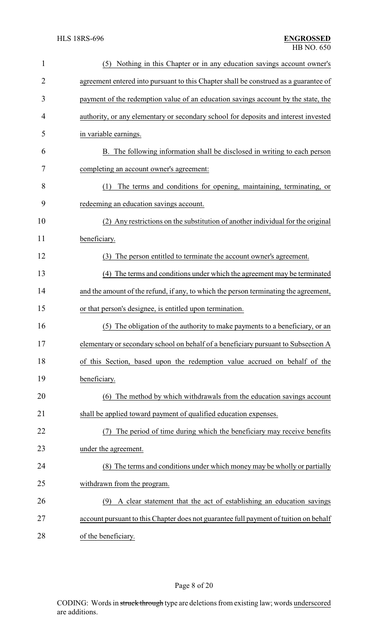| $\mathbf{1}$   | Nothing in this Chapter or in any education savings account owner's<br>(5)            |
|----------------|---------------------------------------------------------------------------------------|
| $\overline{2}$ | agreement entered into pursuant to this Chapter shall be construed as a guarantee of  |
| 3              | payment of the redemption value of an education savings account by the state, the     |
| 4              | authority, or any elementary or secondary school for deposits and interest invested   |
| 5              | in variable earnings.                                                                 |
| 6              | B. The following information shall be disclosed in writing to each person             |
| 7              | completing an account owner's agreement:                                              |
| 8              | The terms and conditions for opening, maintaining, terminating, or<br>(1)             |
| 9              | redeeming an education savings account.                                               |
| 10             | (2) Any restrictions on the substitution of another individual for the original       |
| 11             | beneficiary.                                                                          |
| 12             | The person entitled to terminate the account owner's agreement.<br>(3)                |
| 13             | The terms and conditions under which the agreement may be terminated<br>(4)           |
| 14             | and the amount of the refund, if any, to which the person terminating the agreement,  |
| 15             | or that person's designee, is entitled upon termination.                              |
| 16             | The obligation of the authority to make payments to a beneficiary, or an<br>(5)       |
| 17             | elementary or secondary school on behalf of a beneficiary pursuant to Subsection A    |
| 18             | of this Section, based upon the redemption value accrued on behalf of the             |
| 19             | beneficiary.                                                                          |
| 20             | (6) The method by which withdrawals from the education savings account                |
| 21             | shall be applied toward payment of qualified education expenses.                      |
| 22             | The period of time during which the beneficiary may receive benefits                  |
| 23             | under the agreement.                                                                  |
| 24             | (8) The terms and conditions under which money may be wholly or partially             |
| 25             | withdrawn from the program.                                                           |
| 26             | A clear statement that the act of establishing an education savings<br>(9)            |
| 27             | account pursuant to this Chapter does not guarantee full payment of tuition on behalf |
| 28             | of the beneficiary.                                                                   |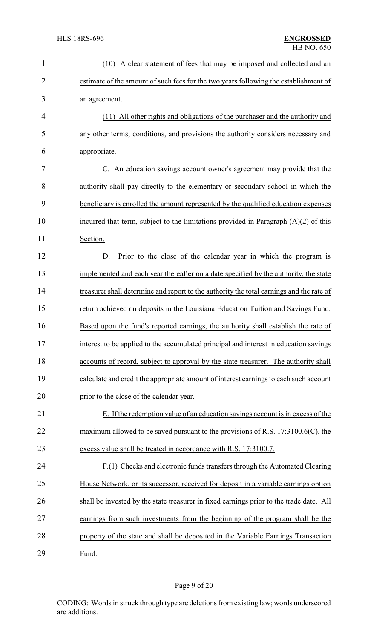| $\mathbf{1}$   | (10) A clear statement of fees that may be imposed and collected and an                  |
|----------------|------------------------------------------------------------------------------------------|
| $\overline{2}$ | estimate of the amount of such fees for the two years following the establishment of     |
| 3              | an agreement.                                                                            |
| $\overline{4}$ | (11) All other rights and obligations of the purchaser and the authority and             |
| 5              | any other terms, conditions, and provisions the authority considers necessary and        |
| 6              | appropriate.                                                                             |
| 7              | C. An education savings account owner's agreement may provide that the                   |
| 8              | authority shall pay directly to the elementary or secondary school in which the          |
| 9              | beneficiary is enrolled the amount represented by the qualified education expenses       |
| 10             | incurred that term, subject to the limitations provided in Paragraph $(A)(2)$ of this    |
| 11             | Section.                                                                                 |
| 12             | Prior to the close of the calendar year in which the program is<br>D.                    |
| 13             | implemented and each year thereafter on a date specified by the authority, the state     |
| 14             | treasurer shall determine and report to the authority the total earnings and the rate of |
| 15             | return achieved on deposits in the Louisiana Education Tuition and Savings Fund.         |
| 16             | Based upon the fund's reported earnings, the authority shall establish the rate of       |
| 17             | interest to be applied to the accumulated principal and interest in education savings    |
| 18             | accounts of record, subject to approval by the state treasurer. The authority shall      |
| 19             | calculate and credit the appropriate amount of interest earnings to each such account    |
| 20             | prior to the close of the calendar year.                                                 |
| 21             | E. If the redemption value of an education savings account is in excess of the           |
| 22             | maximum allowed to be saved pursuant to the provisions of R.S. $17:3100.6(C)$ , the      |
| 23             | excess value shall be treated in accordance with R.S. 17:3100.7.                         |
| 24             | F.(1) Checks and electronic funds transfers through the Automated Clearing               |
| 25             | House Network, or its successor, received for deposit in a variable earnings option      |
| 26             | shall be invested by the state treasurer in fixed earnings prior to the trade date. All  |
| 27             | earnings from such investments from the beginning of the program shall be the            |
| 28             | property of the state and shall be deposited in the Variable Earnings Transaction        |
| 29             | Fund.                                                                                    |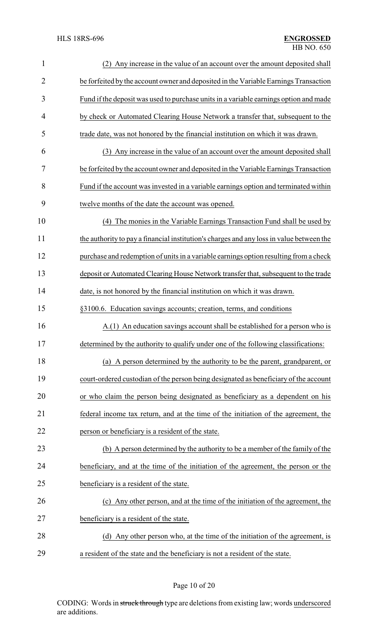| $\mathbf{1}$   | Any increase in the value of an account over the amount deposited shall<br>(2)           |
|----------------|------------------------------------------------------------------------------------------|
| $\overline{2}$ | be forfeited by the account owner and deposited in the Variable Earnings Transaction     |
| 3              | Fund if the deposit was used to purchase units in a variable earnings option and made    |
| 4              | by check or Automated Clearing House Network a transfer that, subsequent to the          |
| 5              | trade date, was not honored by the financial institution on which it was drawn.          |
| 6              | (3) Any increase in the value of an account over the amount deposited shall              |
| 7              | be forfeited by the account owner and deposited in the Variable Earnings Transaction     |
| 8              | Fund if the account was invested in a variable earnings option and terminated within     |
| 9              | twelve months of the date the account was opened.                                        |
| 10             | The monies in the Variable Earnings Transaction Fund shall be used by<br>(4)             |
| 11             | the authority to pay a financial institution's charges and any loss in value between the |
| 12             | purchase and redemption of units in a variable earnings option resulting from a check    |
| 13             | deposit or Automated Clearing House Network transfer that, subsequent to the trade       |
| 14             | date, is not honored by the financial institution on which it was drawn.                 |
| 15             | §3100.6. Education savings accounts; creation, terms, and conditions                     |
| 16             | A.(1) An education savings account shall be established for a person who is              |
| 17             | determined by the authority to qualify under one of the following classifications:       |
| 18             | (a) A person determined by the authority to be the parent, grandparent, or               |
| 19             | court-ordered custodian of the person being designated as beneficiary of the account     |
| 20             | or who claim the person being designated as beneficiary as a dependent on his            |
| 21             | federal income tax return, and at the time of the initiation of the agreement, the       |
| 22             | person or beneficiary is a resident of the state.                                        |
| 23             | (b) A person determined by the authority to be a member of the family of the             |
| 24             | beneficiary, and at the time of the initiation of the agreement, the person or the       |
| 25             | beneficiary is a resident of the state.                                                  |
| 26             | (c) Any other person, and at the time of the initiation of the agreement, the            |
| 27             | beneficiary is a resident of the state.                                                  |
| 28             | (d) Any other person who, at the time of the initiation of the agreement, is             |
| 29             | a resident of the state and the beneficiary is not a resident of the state.              |

# Page 10 of 20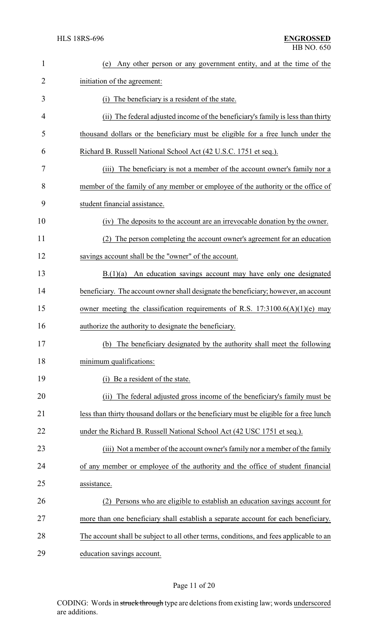| $\mathbf{1}$ | Any other person or any government entity, and at the time of the<br>(e)               |
|--------------|----------------------------------------------------------------------------------------|
| 2            | initiation of the agreement:                                                           |
| 3            | The beneficiary is a resident of the state.<br>(i)                                     |
| 4            | (ii) The federal adjusted income of the beneficiary's family is less than thirty       |
| 5            | thousand dollars or the beneficiary must be eligible for a free lunch under the        |
| 6            | Richard B. Russell National School Act (42 U.S.C. 1751 et seq.).                       |
| 7            | The beneficiary is not a member of the account owner's family nor a<br>(iii)           |
| 8            | member of the family of any member or employee of the authority or the office of       |
| 9            | student financial assistance.                                                          |
| 10           | The deposits to the account are an irrevocable donation by the owner.<br>(iv)          |
| 11           | The person completing the account owner's agreement for an education                   |
| 12           | savings account shall be the "owner" of the account.                                   |
| 13           | B(1)(a)<br>An education savings account may have only one designated                   |
| 14           | beneficiary. The account owner shall designate the beneficiary; however, an account    |
| 15           | owner meeting the classification requirements of R.S. $17:3100.6(A)(1)(e)$ may         |
| 16           | authorize the authority to designate the beneficiary.                                  |
| 17           | (b) The beneficiary designated by the authority shall meet the following               |
| 18           | minimum qualifications:                                                                |
| 19           | Be a resident of the state.<br>(i)                                                     |
| 20           | The federal adjusted gross income of the beneficiary's family must be<br>(ii)          |
| 21           | less than thirty thousand dollars or the beneficiary must be eligible for a free lunch |
| 22           | under the Richard B. Russell National School Act (42 USC 1751 et seq.).                |
| 23           | (iii) Not a member of the account owner's family nor a member of the family            |
| 24           | of any member or employee of the authority and the office of student financial         |
| 25           | assistance.                                                                            |
| 26           | Persons who are eligible to establish an education savings account for                 |
| 27           | more than one beneficiary shall establish a separate account for each beneficiary.     |
| 28           | The account shall be subject to all other terms, conditions, and fees applicable to an |
| 29           | education savings account.                                                             |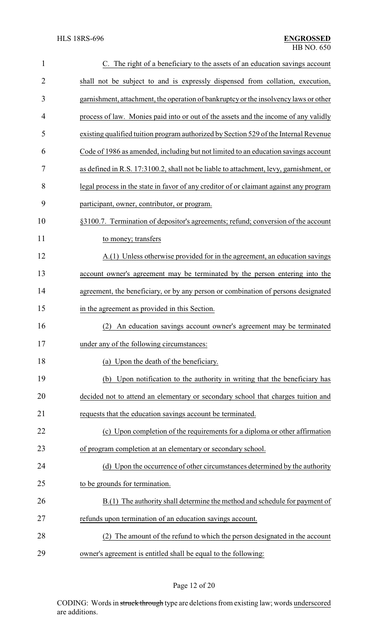| $\mathbf{1}$   | C. The right of a beneficiary to the assets of an education savings account            |
|----------------|----------------------------------------------------------------------------------------|
| $\overline{2}$ | shall not be subject to and is expressly dispensed from collation, execution,          |
| 3              | garnishment, attachment, the operation of bankruptcy or the insolvency laws or other   |
| 4              | process of law. Monies paid into or out of the assets and the income of any validly    |
| 5              | existing qualified tuition program authorized by Section 529 of the Internal Revenue   |
| 6              | Code of 1986 as amended, including but not limited to an education savings account     |
| 7              | as defined in R.S. 17:3100.2, shall not be liable to attachment, levy, garnishment, or |
| 8              | legal process in the state in favor of any creditor of or claimant against any program |
| 9              | participant, owner, contributor, or program.                                           |
| 10             | §3100.7. Termination of depositor's agreements; refund; conversion of the account      |
| 11             | to money; transfers                                                                    |
| 12             | A.(1) Unless otherwise provided for in the agreement, an education savings             |
| 13             | account owner's agreement may be terminated by the person entering into the            |
| 14             | agreement, the beneficiary, or by any person or combination of persons designated      |
| 15             | in the agreement as provided in this Section.                                          |
| 16             | An education savings account owner's agreement may be terminated<br>(2)                |
| 17             | under any of the following circumstances:                                              |
| 18             | (a) Upon the death of the beneficiary.                                                 |
| 19             | (b) Upon notification to the authority in writing that the beneficiary has             |
| 20             | decided not to attend an elementary or secondary school that charges tuition and       |
| 21             | requests that the education savings account be terminated.                             |
| 22             | (c) Upon completion of the requirements for a diploma or other affirmation             |
| 23             | of program completion at an elementary or secondary school.                            |
| 24             | (d) Upon the occurrence of other circumstances determined by the authority             |
| 25             | to be grounds for termination.                                                         |
| 26             | B.(1) The authority shall determine the method and schedule for payment of             |
| 27             | refunds upon termination of an education savings account.                              |
| 28             | The amount of the refund to which the person designated in the account                 |
| 29             | owner's agreement is entitled shall be equal to the following:                         |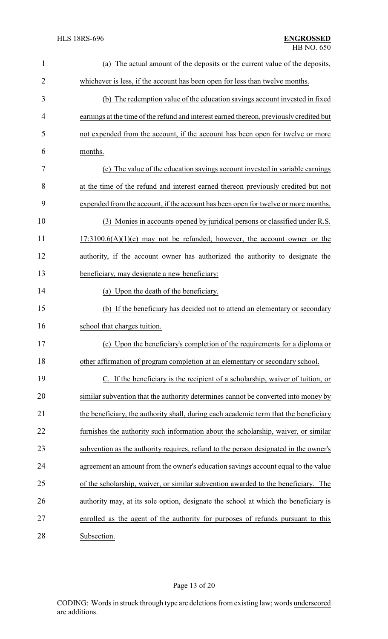| $\mathbf{1}$   | The actual amount of the deposits or the current value of the deposits,<br>(a)          |
|----------------|-----------------------------------------------------------------------------------------|
| $\overline{2}$ | whichever is less, if the account has been open for less than twelve months.            |
| 3              | (b) The redemption value of the education savings account invested in fixed             |
| 4              | earnings at the time of the refund and interest earned thereon, previously credited but |
| 5              | not expended from the account, if the account has been open for twelve or more          |
| 6              | months.                                                                                 |
| 7              | (c) The value of the education savings account invested in variable earnings            |
| 8              | at the time of the refund and interest earned thereon previously credited but not       |
| 9              | expended from the account, if the account has been open for twelve or more months.      |
| 10             | (3) Monies in accounts opened by juridical persons or classified under R.S.             |
| 11             | $17:3100.6(A)(1)(e)$ may not be refunded; however, the account owner or the             |
| 12             | authority, if the account owner has authorized the authority to designate the           |
| 13             | beneficiary, may designate a new beneficiary:                                           |
| 14             | (a) Upon the death of the beneficiary.                                                  |
| 15             | (b) If the beneficiary has decided not to attend an elementary or secondary             |
| 16             | school that charges tuition.                                                            |
| 17             | (c) Upon the beneficiary's completion of the requirements for a diploma or              |
| 18             | other affirmation of program completion at an elementary or secondary school.           |
| 19             | C. If the beneficiary is the recipient of a scholarship, waiver of tuition, or          |
| 20             | similar subvention that the authority determines cannot be converted into money by      |
| 21             | the beneficiary, the authority shall, during each academic term that the beneficiary    |
| 22             | furnishes the authority such information about the scholarship, waiver, or similar      |
| 23             | subvention as the authority requires, refund to the person designated in the owner's    |
| 24             | agreement an amount from the owner's education savings account equal to the value       |
| 25             | of the scholarship, waiver, or similar subvention awarded to the beneficiary. The       |
| 26             | authority may, at its sole option, designate the school at which the beneficiary is     |
| 27             | enrolled as the agent of the authority for purposes of refunds pursuant to this         |
| 28             | Subsection.                                                                             |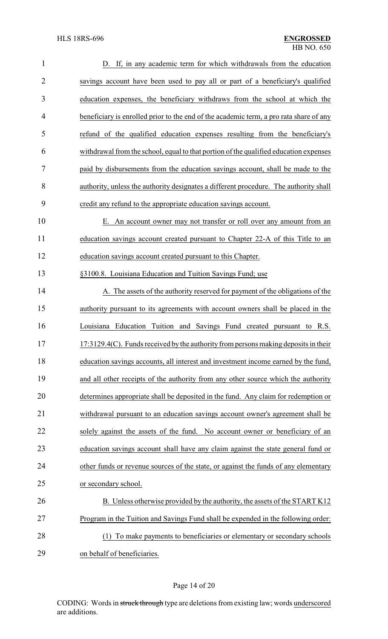| $\mathbf{1}$   | D. If, in any academic term for which withdrawals from the education                   |
|----------------|----------------------------------------------------------------------------------------|
| $\overline{2}$ | savings account have been used to pay all or part of a beneficiary's qualified         |
| 3              | education expenses, the beneficiary withdraws from the school at which the             |
| 4              | beneficiary is enrolled prior to the end of the academic term, a pro rata share of any |
| 5              | refund of the qualified education expenses resulting from the beneficiary's            |
| 6              | withdrawal from the school, equal to that portion of the qualified education expenses  |
| 7              | paid by disbursements from the education savings account, shall be made to the         |
| 8              | authority, unless the authority designates a different procedure. The authority shall  |
| 9              | credit any refund to the appropriate education savings account.                        |
| 10             | E. An account owner may not transfer or roll over any amount from an                   |
| 11             | education savings account created pursuant to Chapter 22-A of this Title to an         |
| 12             | education savings account created pursuant to this Chapter.                            |
| 13             | §3100.8. Louisiana Education and Tuition Savings Fund; use                             |
| 14             | A. The assets of the authority reserved for payment of the obligations of the          |
| 15             | authority pursuant to its agreements with account owners shall be placed in the        |
| 16             | Louisiana Education Tuition and Savings Fund created pursuant to R.S.                  |
| 17             | 17:3129.4(C). Funds received by the authority from persons making deposits in their    |
| 18             | education savings accounts, all interest and investment income earned by the fund,     |
| 19             | and all other receipts of the authority from any other source which the authority      |
| 20             | determines appropriate shall be deposited in the fund. Any claim for redemption or     |
| 21             | withdrawal pursuant to an education savings account owner's agreement shall be         |
| 22             | solely against the assets of the fund. No account owner or beneficiary of an           |
| 23             | education savings account shall have any claim against the state general fund or       |
| 24             | other funds or revenue sources of the state, or against the funds of any elementary    |
| 25             | or secondary school.                                                                   |
| 26             | B. Unless otherwise provided by the authority, the assets of the START K12             |
| 27             | Program in the Tuition and Savings Fund shall be expended in the following order:      |
| 28             | To make payments to beneficiaries or elementary or secondary schools<br>(1)            |
| 29             | on behalf of beneficiaries.                                                            |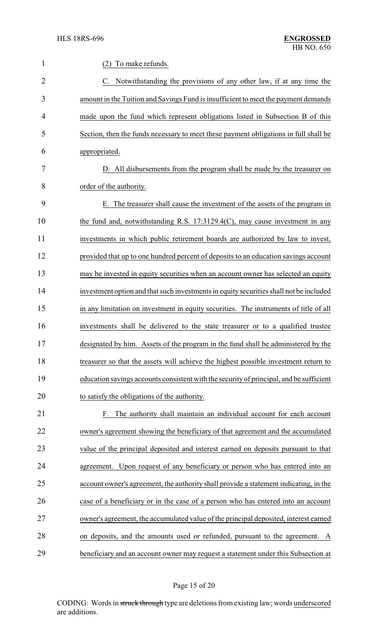| 1              | (2) To make refunds.                                                                    |
|----------------|-----------------------------------------------------------------------------------------|
| $\overline{2}$ | C. Notwithstanding the provisions of any other law, if at any time the                  |
| 3              | amount in the Tuition and Savings Fund is insufficient to meet the payment demands      |
| 4              | made upon the fund which represent obligations listed in Subsection B of this           |
| 5              | Section, then the funds necessary to meet these payment obligations in full shall be    |
| 6              | appropriated.                                                                           |
| 7              | D. All disbursements from the program shall be made by the treasurer on                 |
| 8              | order of the authority.                                                                 |
| 9              | E. The treasurer shall cause the investment of the assets of the program in             |
| 10             | the fund and, notwithstanding R.S. 17:3129.4(C), may cause investment in any            |
| 11             | investments in which public retirement boards are authorized by law to invest,          |
| 12             | provided that up to one hundred percent of deposits to an education savings account     |
| 13             | may be invested in equity securities when an account owner has selected an equity       |
| 14             | investment option and that such investments in equity securities shall not be included  |
| 15             | in any limitation on investment in equity securities. The instruments of title of all   |
| 16             | investments shall be delivered to the state treasurer or to a qualified trustee         |
| 17             | designated by him. Assets of the program in the fund shall be administered by the       |
| 18             | treasurer so that the assets will achieve the highest possible investment return to     |
| 19             | education savings accounts consistent with the security of principal, and be sufficient |
| 20             | to satisfy the obligations of the authority.                                            |
| 21             | F. The authority shall maintain an individual account for each account                  |
| 22             | owner's agreement showing the beneficiary of that agreement and the accumulated         |
| 23             | value of the principal deposited and interest earned on deposits pursuant to that       |
| 24             | agreement. Upon request of any beneficiary or person who has entered into an            |
| 25             | account owner's agreement, the authority shall provide a statement indicating, in the   |
| 26             | case of a beneficiary or in the case of a person who has entered into an account        |
| 27             | owner's agreement, the accumulated value of the principal deposited, interest earned    |
| 28             | on deposits, and the amounts used or refunded, pursuant to the agreement. A             |
| 29             | beneficiary and an account owner may request a statement under this Subsection at       |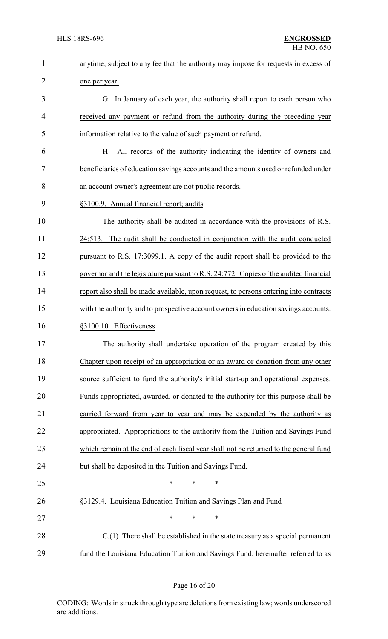| $\mathbf{1}$   | anytime, subject to any fee that the authority may impose for requests in excess of   |
|----------------|---------------------------------------------------------------------------------------|
| $\overline{2}$ | one per year.                                                                         |
| 3              | G. In January of each year, the authority shall report to each person who             |
| 4              | received any payment or refund from the authority during the preceding year           |
| 5              | information relative to the value of such payment or refund.                          |
| 6              | All records of the authority indicating the identity of owners and<br>Н.              |
| 7              | beneficiaries of education savings accounts and the amounts used or refunded under    |
| 8              | an account owner's agreement are not public records.                                  |
| 9              | §3100.9. Annual financial report; audits                                              |
| 10             | The authority shall be audited in accordance with the provisions of R.S.              |
| 11             | 24:513. The audit shall be conducted in conjunction with the audit conducted          |
| 12             | pursuant to R.S. 17:3099.1. A copy of the audit report shall be provided to the       |
| 13             | governor and the legislature pursuant to R.S. 24:772. Copies of the audited financial |
| 14             | report also shall be made available, upon request, to persons entering into contracts |
| 15             | with the authority and to prospective account owners in education savings accounts.   |
| 16             | §3100.10. Effectiveness                                                               |
| 17             | The authority shall undertake operation of the program created by this                |
| 18             | Chapter upon receipt of an appropriation or an award or donation from any other       |
| 19             | source sufficient to fund the authority's initial start-up and operational expenses.  |
| 20             | Funds appropriated, awarded, or donated to the authority for this purpose shall be    |
| 21             | carried forward from year to year and may be expended by the authority as             |
| 22             | appropriated. Appropriations to the authority from the Tuition and Savings Fund       |
| 23             | which remain at the end of each fiscal year shall not be returned to the general fund |
| 24             | but shall be deposited in the Tuition and Savings Fund.                               |
| 25             | $\ast$<br>$\ast$<br>$\ast$                                                            |
| 26             | §3129.4. Louisiana Education Tuition and Savings Plan and Fund                        |
| 27             | $\ast$<br>$\ast$<br>*                                                                 |
| 28             | $C(1)$ There shall be established in the state treasury as a special permanent        |
| 29             | fund the Louisiana Education Tuition and Savings Fund, hereinafter referred to as     |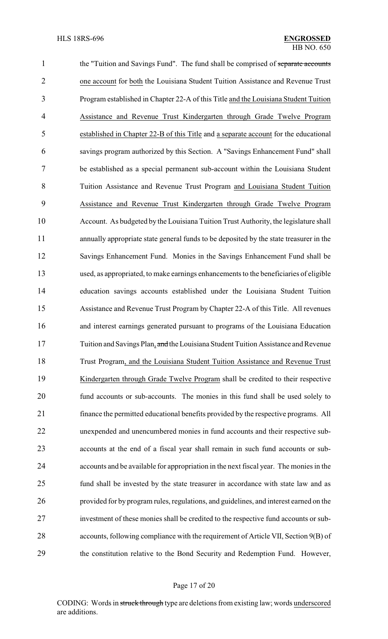1 the "Tuition and Savings Fund". The fund shall be comprised of separate accounts one account for both the Louisiana Student Tuition Assistance and Revenue Trust Program established in Chapter 22-A of this Title and the Louisiana Student Tuition Assistance and Revenue Trust Kindergarten through Grade Twelve Program established in Chapter 22-B of this Title and a separate account for the educational savings program authorized by this Section. A "Savings Enhancement Fund" shall be established as a special permanent sub-account within the Louisiana Student Tuition Assistance and Revenue Trust Program and Louisiana Student Tuition Assistance and Revenue Trust Kindergarten through Grade Twelve Program Account. As budgeted by the Louisiana Tuition Trust Authority, the legislature shall annually appropriate state general funds to be deposited by the state treasurer in the Savings Enhancement Fund. Monies in the Savings Enhancement Fund shall be used, as appropriated, to make earnings enhancements to the beneficiaries of eligible education savings accounts established under the Louisiana Student Tuition Assistance and Revenue Trust Program by Chapter 22-A of this Title. All revenues and interest earnings generated pursuant to programs of the Louisiana Education 17 Tuition and Savings Plan, and the Louisiana Student Tuition Assistance and Revenue Trust Program, and the Louisiana Student Tuition Assistance and Revenue Trust Kindergarten through Grade Twelve Program shall be credited to their respective fund accounts or sub-accounts. The monies in this fund shall be used solely to finance the permitted educational benefits provided by the respective programs. All unexpended and unencumbered monies in fund accounts and their respective sub- accounts at the end of a fiscal year shall remain in such fund accounts or sub- accounts and be available for appropriation in the next fiscal year. The monies in the fund shall be invested by the state treasurer in accordance with state law and as provided for by program rules, regulations, and guidelines, and interest earned on the investment of these monies shall be credited to the respective fund accounts or sub- accounts, following compliance with the requirement of Article VII, Section 9(B) of the constitution relative to the Bond Security and Redemption Fund. However,

## Page 17 of 20

CODING: Words in struck through type are deletions from existing law; words underscored are additions.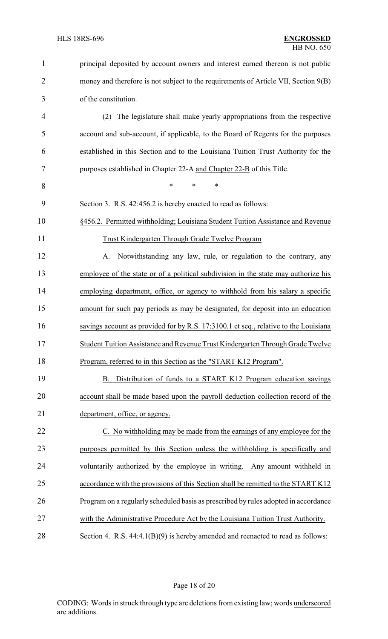| $\mathbf{1}$   | principal deposited by account owners and interest earned thereon is not public      |
|----------------|--------------------------------------------------------------------------------------|
| $\overline{2}$ | money and therefore is not subject to the requirements of Article VII, Section 9(B)  |
| 3              | of the constitution.                                                                 |
| 4              | The legislature shall make yearly appropriations from the respective<br>(2)          |
| 5              | account and sub-account, if applicable, to the Board of Regents for the purposes     |
| 6              | established in this Section and to the Louisiana Tuition Trust Authority for the     |
| 7              | purposes established in Chapter 22-A and Chapter 22-B of this Title.                 |
| 8              | $\ast$<br>$\ast$<br>∗                                                                |
| 9              | Section 3. R.S. 42:456.2 is hereby enacted to read as follows:                       |
| 10             | §456.2. Permitted withholding; Louisiana Student Tuition Assistance and Revenue      |
| 11             | Trust Kindergarten Through Grade Twelve Program                                      |
| 12             | Notwithstanding any law, rule, or regulation to the contrary, any<br>A.              |
| 13             | employee of the state or of a political subdivision in the state may authorize his   |
| 14             | employing department, office, or agency to withhold from his salary a specific       |
| 15             | amount for such pay periods as may be designated, for deposit into an education      |
| 16             | savings account as provided for by R.S. 17:3100.1 et seq., relative to the Louisiana |
| 17             | Student Tuition Assistance and Revenue Trust Kindergarten Through Grade Twelve       |
| 18             | Program, referred to in this Section as the "START K12 Program".                     |
| 19             | B. Distribution of funds to a START K12 Program education savings                    |
| 20             | account shall be made based upon the payroll deduction collection record of the      |
| 21             | department, office, or agency.                                                       |
| 22             | C. No withholding may be made from the earnings of any employee for the              |
| 23             | purposes permitted by this Section unless the withholding is specifically and        |
| 24             | voluntarily authorized by the employee in writing. Any amount withheld in            |
| 25             | accordance with the provisions of this Section shall be remitted to the START K12    |
| 26             | Program on a regularly scheduled basis as prescribed by rules adopted in accordance  |
| 27             | with the Administrative Procedure Act by the Louisiana Tuition Trust Authority.      |
| 28             | Section 4. R.S. $44:4.1(B)(9)$ is hereby amended and reenacted to read as follows:   |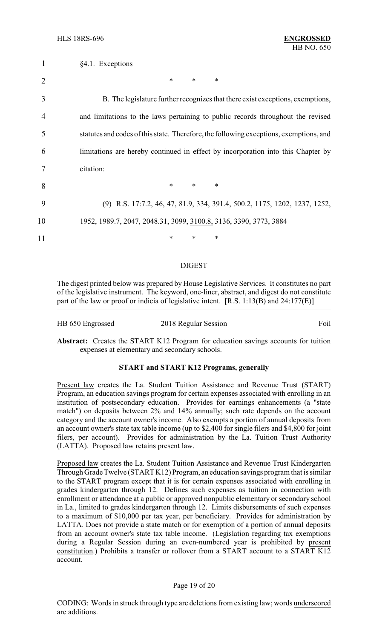| $\mathbf{1}$   | §4.1. Exceptions                                                                       |
|----------------|----------------------------------------------------------------------------------------|
| $\overline{2}$ | $\ast$<br>*<br>$\ast$                                                                  |
| 3              | B. The legislature further recognizes that there exist exceptions, exemptions,         |
| 4              | and limitations to the laws pertaining to public records throughout the revised        |
| 5              | statutes and codes of this state. Therefore, the following exceptions, exemptions, and |
| 6              | limitations are hereby continued in effect by incorporation into this Chapter by       |
|                | citation:                                                                              |
| 8              | $\ast$<br>$\ast$<br>$\ast$                                                             |
| 9              | (9) R.S. 17:7.2, 46, 47, 81.9, 334, 391.4, 500.2, 1175, 1202, 1237, 1252,              |
| 10             | 1952, 1989.7, 2047, 2048.31, 3099, 3100.8, 3136, 3390, 3773, 3884                      |
| 11             | *<br>∗<br>*                                                                            |
|                |                                                                                        |

#### DIGEST

The digest printed below was prepared by House Legislative Services. It constitutes no part of the legislative instrument. The keyword, one-liner, abstract, and digest do not constitute part of the law or proof or indicia of legislative intent. [R.S. 1:13(B) and 24:177(E)]

| HB 650 Engrossed | 2018 Regular Session | Foil |
|------------------|----------------------|------|
|                  |                      |      |

**Abstract:** Creates the START K12 Program for education savings accounts for tuition expenses at elementary and secondary schools.

## **START and START K12 Programs, generally**

Present law creates the La. Student Tuition Assistance and Revenue Trust (START) Program, an education savings program for certain expenses associated with enrolling in an institution of postsecondary education. Provides for earnings enhancements (a "state match") on deposits between 2% and 14% annually; such rate depends on the account category and the account owner's income. Also exempts a portion of annual deposits from an account owner's state tax table income (up to \$2,400 for single filers and \$4,800 for joint filers, per account). Provides for administration by the La. Tuition Trust Authority (LATTA). Proposed law retains present law.

Proposed law creates the La. Student Tuition Assistance and Revenue Trust Kindergarten Through Grade Twelve (START K12) Program, an education savings program that is similar to the START program except that it is for certain expenses associated with enrolling in grades kindergarten through 12. Defines such expenses as tuition in connection with enrollment or attendance at a public or approved nonpublic elementary or secondary school in La., limited to grades kindergarten through 12. Limits disbursements of such expenses to a maximum of \$10,000 per tax year, per beneficiary. Provides for administration by LATTA. Does not provide a state match or for exemption of a portion of annual deposits from an account owner's state tax table income. (Legislation regarding tax exemptions during a Regular Session during an even-numbered year is prohibited by present constitution.) Prohibits a transfer or rollover from a START account to a START K12 account.

## Page 19 of 20